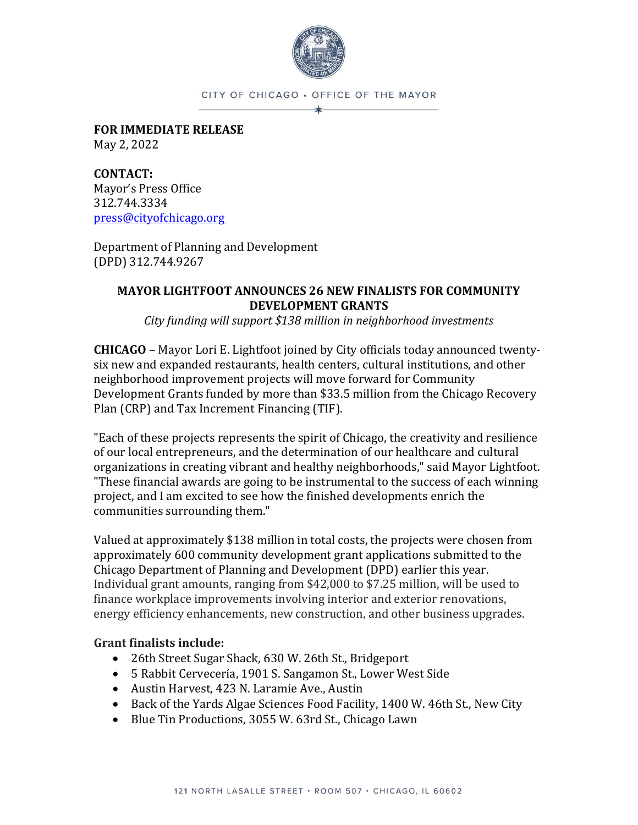

## CITY OF CHICAGO . OFFICE OF THE MAYOR ∗

**FOR IMMEDIATE RELEASE** May 2, 2022

**CONTACT:** Mayor's Press Office 312.744.3334 [press@cityofchicago.org](mailto:press@cityofchicago.org)

Department of Planning and Development (DPD) 312.744.9267

## **MAYOR LIGHTFOOT ANNOUNCES 26 NEW FINALISTS FOR COMMUNITY DEVELOPMENT GRANTS**

*City funding will support \$138 million in neighborhood investments*

**CHICAGO** – Mayor Lori E. Lightfoot joined by City officials today announced twentysix new and expanded restaurants, health centers, cultural institutions, and other neighborhood improvement projects will move forward for Community Development Grants funded by more than \$33.5 million from the Chicago Recovery Plan (CRP) and Tax Increment Financing (TIF).

"Each of these projects represents the spirit of Chicago, the creativity and resilience of our local entrepreneurs, and the determination of our healthcare and cultural organizations in creating vibrant and healthy neighborhoods," said Mayor Lightfoot. "These financial awards are going to be instrumental to the success of each winning project, and I am excited to see how the finished developments enrich the communities surrounding them."

Valued at approximately \$138 million in total costs, the projects were chosen from approximately 600 community development grant applications submitted to the Chicago Department of Planning and Development (DPD) earlier this year. Individual grant amounts, ranging from \$42,000 to \$7.25 million, will be used to finance workplace improvements involving interior and exterior renovations, energy efficiency enhancements, new construction, and other business upgrades.

## **Grant finalists include:**

- 26th Street Sugar Shack, 630 W. 26th St., Bridgeport
- 5 Rabbit Cervecería, 1901 S. Sangamon St., Lower West Side
- Austin Harvest, 423 N. Laramie Ave., Austin
- Back of the Yards Algae Sciences Food Facility, 1400 W. 46th St., New City
- Blue Tin Productions, 3055 W. 63rd St., Chicago Lawn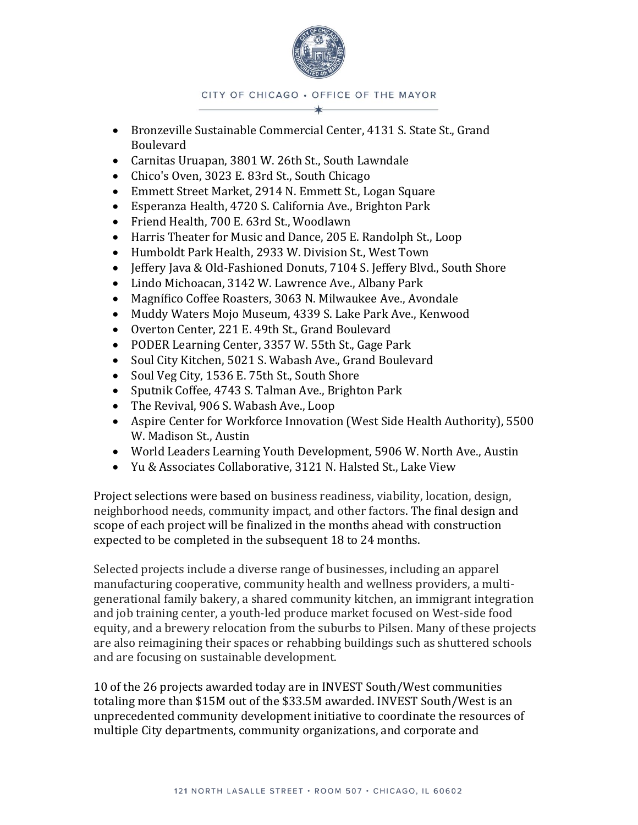

CITY OF CHICAGO . OFFICE OF THE MAYOR

- Bronzeville Sustainable Commercial Center, 4131 S. State St., Grand Boulevard
- Carnitas Uruapan, 3801 W. 26th St., South Lawndale
- Chico's Oven, 3023 E. 83rd St., South Chicago
- Emmett Street Market, 2914 N. Emmett St., Logan Square
- Esperanza Health, 4720 S. California Ave., Brighton Park
- Friend Health, 700 E. 63rd St., Woodlawn
- Harris Theater for Music and Dance, 205 E. Randolph St., Loop
- Humboldt Park Health, 2933 W. Division St., West Town
- Jeffery Java & Old-Fashioned Donuts, 7104 S. Jeffery Blvd., South Shore
- Lindo Michoacan, 3142 W. Lawrence Ave., Albany Park
- Magnífico Coffee Roasters, 3063 N. Milwaukee Ave., Avondale
- Muddy Waters Mojo Museum, 4339 S. Lake Park Ave., Kenwood
- Overton Center, 221 E. 49th St., Grand Boulevard
- PODER Learning Center, 3357 W. 55th St., Gage Park
- Soul City Kitchen, 5021 S. Wabash Ave., Grand Boulevard
- Soul Veg City, 1536 E. 75th St., South Shore
- Sputnik Coffee, 4743 S. Talman Ave., Brighton Park
- The Revival, 906 S. Wabash Ave., Loop
- Aspire Center for Workforce Innovation (West Side Health Authority), 5500 W. Madison St., Austin
- World Leaders Learning Youth Development, 5906 W. North Ave., Austin
- Yu & Associates Collaborative, 3121 N. Halsted St., Lake View

Project selections were based on business readiness, viability, location, design, neighborhood needs, community impact, and other factors. The final design and scope of each project will be finalized in the months ahead with construction expected to be completed in the subsequent 18 to 24 months.

Selected projects include a diverse range of businesses, including an apparel manufacturing cooperative, community health and wellness providers, a multigenerational family bakery, a shared community kitchen, an immigrant integration and job training center, a youth-led produce market focused on West-side food equity, and a brewery relocation from the suburbs to Pilsen. Many of these projects are also reimagining their spaces or rehabbing buildings such as shuttered schools and are focusing on sustainable development.

10 of the 26 projects awarded today are in INVEST South/West communities totaling more than \$15M out of the \$33.5M awarded. INVEST South/West is an unprecedented community development initiative to coordinate the resources of multiple City departments, community organizations, and corporate and